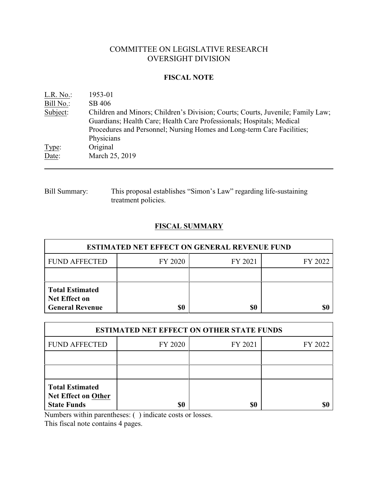# COMMITTEE ON LEGISLATIVE RESEARCH OVERSIGHT DIVISION

### **FISCAL NOTE**

| L.R. No.  | 1953-01                                                                         |
|-----------|---------------------------------------------------------------------------------|
| Bill No.: | SB 406                                                                          |
| Subject:  | Children and Minors; Children's Division; Courts; Courts, Juvenile; Family Law; |
|           | Guardians; Health Care; Health Care Professionals; Hospitals; Medical           |
|           | Procedures and Personnel; Nursing Homes and Long-term Care Facilities;          |
|           | Physicians                                                                      |
| Type:     | Original                                                                        |
| Date:     | March 25, 2019                                                                  |
|           |                                                                                 |

# Bill Summary: This proposal establishes "Simon's Law" regarding life-sustaining treatment policies.

# **FISCAL SUMMARY**

| <b>ESTIMATED NET EFFECT ON GENERAL REVENUE FUND</b>                      |         |         |         |  |
|--------------------------------------------------------------------------|---------|---------|---------|--|
| <b>FUND AFFECTED</b>                                                     | FY 2020 | FY 2021 | FY 2022 |  |
|                                                                          |         |         |         |  |
| <b>Total Estimated</b><br><b>Net Effect on</b><br><b>General Revenue</b> | \$0     | \$0     |         |  |

| <b>ESTIMATED NET EFFECT ON OTHER STATE FUNDS</b>                           |         |         |         |  |
|----------------------------------------------------------------------------|---------|---------|---------|--|
| <b>FUND AFFECTED</b>                                                       | FY 2020 | FY 2021 | FY 2022 |  |
|                                                                            |         |         |         |  |
|                                                                            |         |         |         |  |
| <b>Total Estimated</b><br><b>Net Effect on Other</b><br><b>State Funds</b> | \$0     | \$0     |         |  |

Numbers within parentheses: ( ) indicate costs or losses.

This fiscal note contains 4 pages.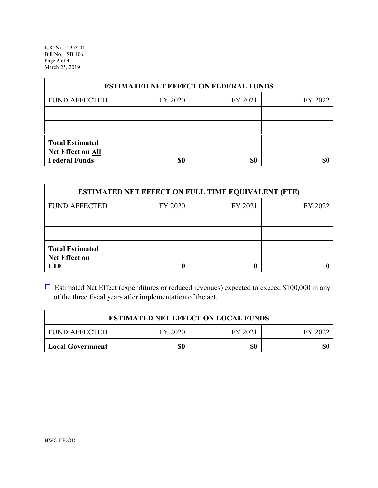L.R. No. 1953-01 Bill No. SB 406 Page 2 of 4 March 25, 2019

| <b>ESTIMATED NET EFFECT ON FEDERAL FUNDS</b>                        |         |         |         |  |
|---------------------------------------------------------------------|---------|---------|---------|--|
| <b>FUND AFFECTED</b>                                                | FY 2020 | FY 2021 | FY 2022 |  |
|                                                                     |         |         |         |  |
|                                                                     |         |         |         |  |
| <b>Total Estimated</b><br>Net Effect on All<br><b>Federal Funds</b> | \$0     | \$0     |         |  |

| <b>ESTIMATED NET EFFECT ON FULL TIME EQUIVALENT (FTE)</b>    |         |         |         |  |
|--------------------------------------------------------------|---------|---------|---------|--|
| <b>FUND AFFECTED</b>                                         | FY 2020 | FY 2021 | FY 2022 |  |
|                                                              |         |         |         |  |
|                                                              |         |         |         |  |
| <b>Total Estimated</b><br><b>Net Effect on</b><br><b>FTE</b> |         |         |         |  |

 $\Box$  Estimated Net Effect (expenditures or reduced revenues) expected to exceed \$100,000 in any of the three fiscal years after implementation of the act.

| <b>ESTIMATED NET EFFECT ON LOCAL FUNDS</b> |         |         |         |  |
|--------------------------------------------|---------|---------|---------|--|
| <b>FUND AFFECTED</b>                       | FY 2020 | FY 2021 | FY 2022 |  |
| <b>Local Government</b>                    | \$0     | \$0     | \$0     |  |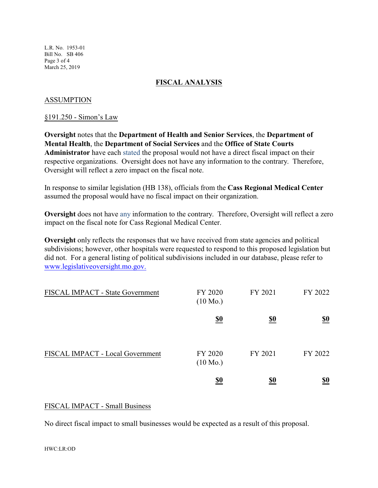L.R. No. 1953-01 Bill No. SB 406 Page 3 of 4 March 25, 2019

## **FISCAL ANALYSIS**

### ASSUMPTION

#### §191.250 - Simon's Law

**Oversight** notes that the **Department of Health and Senior Services**, the **Department of Mental Health**, the **Department of Social Services** and the **Office of State Courts Administrator** have each stated the proposal would not have a direct fiscal impact on their respective organizations. Oversight does not have any information to the contrary. Therefore, Oversight will reflect a zero impact on the fiscal note.

In response to similar legislation (HB 138), officials from the **Cass Regional Medical Center** assumed the proposal would have no fiscal impact on their organization.

**Oversight** does not have any information to the contrary. Therefore, Oversight will reflect a zero impact on the fiscal note for Cass Regional Medical Center.

**Oversight** only reflects the responses that we have received from state agencies and political subdivisions; however, other hospitals were requested to respond to this proposed legislation but did not. For a general listing of political subdivisions included in our database, please refer to [www.legislativeoversight.mo.gov.](http://www.legislativeoversight.mo.gov.)

| FISCAL IMPACT - State Government | FY 2020<br>$(10 \text{ Mo.})$ | FY 2021    | FY 2022    |
|----------------------------------|-------------------------------|------------|------------|
|                                  | $\underline{\underline{\$0}}$ | <u>\$0</u> | <u>\$0</u> |
| FISCAL IMPACT - Local Government | FY 2020<br>$(10 \text{ Mo.})$ | FY 2021    | FY 2022    |
|                                  | <u>\$0</u>                    | <u>\$0</u> | <u>\$0</u> |

### FISCAL IMPACT - Small Business

No direct fiscal impact to small businesses would be expected as a result of this proposal.